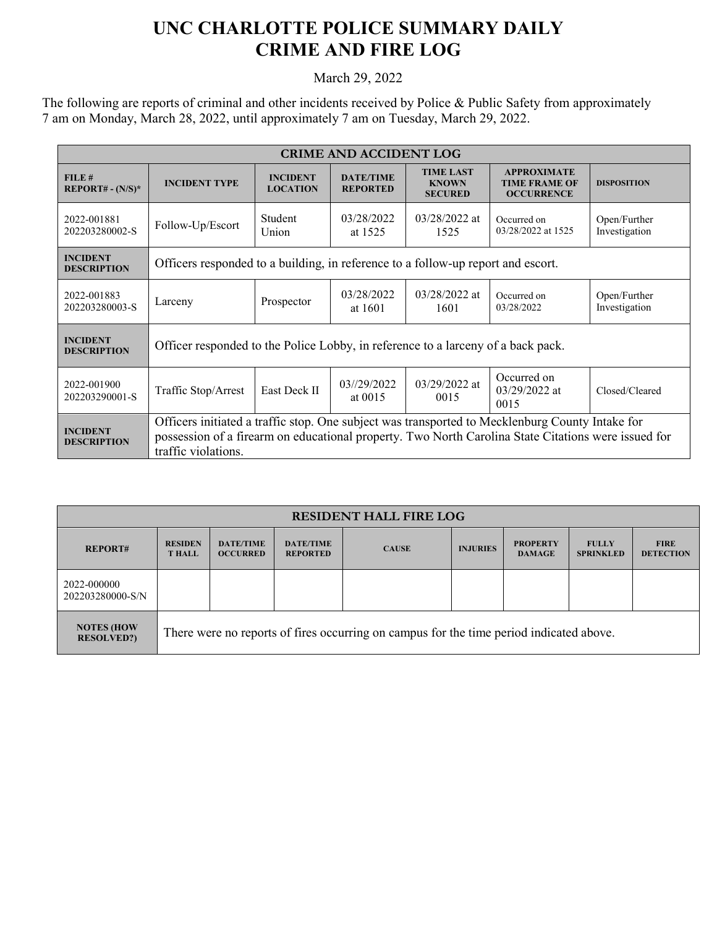## **UNC CHARLOTTE POLICE SUMMARY DAILY CRIME AND FIRE LOG**

March 29, 2022

The following are reports of criminal and other incidents received by Police & Public Safety from approximately 7 am on Monday, March 28, 2022, until approximately 7 am on Tuesday, March 29, 2022.

| <b>CRIME AND ACCIDENT LOG</b>         |                                                                                                                                                                                                                               |                                    |                                     |                                                    |                                                                 |                               |  |
|---------------------------------------|-------------------------------------------------------------------------------------------------------------------------------------------------------------------------------------------------------------------------------|------------------------------------|-------------------------------------|----------------------------------------------------|-----------------------------------------------------------------|-------------------------------|--|
| FILE#<br>$REPORT# - (N/S)*$           | <b>INCIDENT TYPE</b>                                                                                                                                                                                                          | <b>INCIDENT</b><br><b>LOCATION</b> | <b>DATE/TIME</b><br><b>REPORTED</b> | <b>TIME LAST</b><br><b>KNOWN</b><br><b>SECURED</b> | <b>APPROXIMATE</b><br><b>TIME FRAME OF</b><br><b>OCCURRENCE</b> | <b>DISPOSITION</b>            |  |
| 2022-001881<br>202203280002-S         | Follow-Up/Escort                                                                                                                                                                                                              | Student<br>Union                   | 03/28/2022<br>at 1525               | 03/28/2022 at<br>1525                              | Occurred on<br>03/28/2022 at 1525                               | Open/Further<br>Investigation |  |
| <b>INCIDENT</b><br><b>DESCRIPTION</b> | Officers responded to a building, in reference to a follow-up report and escort.                                                                                                                                              |                                    |                                     |                                                    |                                                                 |                               |  |
| 2022-001883<br>202203280003-S         | Larceny                                                                                                                                                                                                                       | Prospector                         | 03/28/2022<br>at 1601               | $03/28/2022$ at<br>1601                            | Occurred on<br>03/28/2022                                       | Open/Further<br>Investigation |  |
| <b>INCIDENT</b><br><b>DESCRIPTION</b> | Officer responded to the Police Lobby, in reference to a larceny of a back pack.                                                                                                                                              |                                    |                                     |                                                    |                                                                 |                               |  |
| 2022-001900<br>202203290001-S         | Traffic Stop/Arrest                                                                                                                                                                                                           | East Deck II                       | 03//29/2022<br>at $0015$            | $03/29/2022$ at<br>0015                            | Occurred on<br>$03/29/2022$ at<br>0015                          | Closed/Cleared                |  |
| <b>INCIDENT</b><br><b>DESCRIPTION</b> | Officers initiated a traffic stop. One subject was transported to Mecklenburg County Intake for<br>possession of a firearm on educational property. Two North Carolina State Citations were issued for<br>traffic violations. |                                    |                                     |                                                    |                                                                 |                               |  |

| <b>RESIDENT HALL FIRE LOG</b>          |                                                                                         |                                     |                                     |              |                 |                                  |                                  |                                 |
|----------------------------------------|-----------------------------------------------------------------------------------------|-------------------------------------|-------------------------------------|--------------|-----------------|----------------------------------|----------------------------------|---------------------------------|
| <b>REPORT#</b>                         | <b>RESIDEN</b><br><b>THALL</b>                                                          | <b>DATE/TIME</b><br><b>OCCURRED</b> | <b>DATE/TIME</b><br><b>REPORTED</b> | <b>CAUSE</b> | <b>INJURIES</b> | <b>PROPERTY</b><br><b>DAMAGE</b> | <b>FULLY</b><br><b>SPRINKLED</b> | <b>FIRE</b><br><b>DETECTION</b> |
| 2022-000000<br>202203280000-S/N        |                                                                                         |                                     |                                     |              |                 |                                  |                                  |                                 |
| <b>NOTES (HOW</b><br><b>RESOLVED?)</b> | There were no reports of fires occurring on campus for the time period indicated above. |                                     |                                     |              |                 |                                  |                                  |                                 |